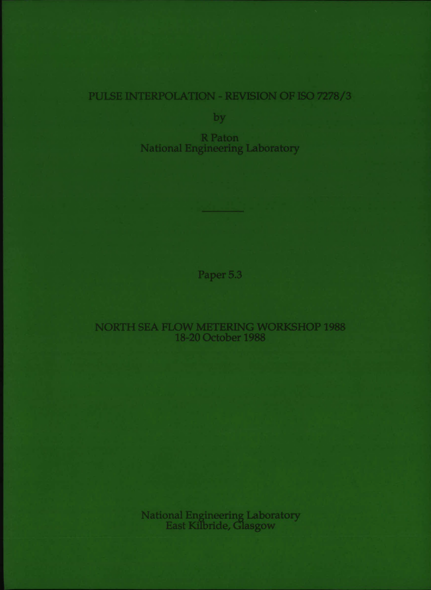# PULSE INTERPOLATION - REVISION OF ISO 7278/3

by

R Paton National Engineering Laboratory

Paper 5.3

## NORTH SEA FLOW METERING WORKSHOP 1988 18-20 October 1988

National Engineering Laboratory East Kilbride, Glasgow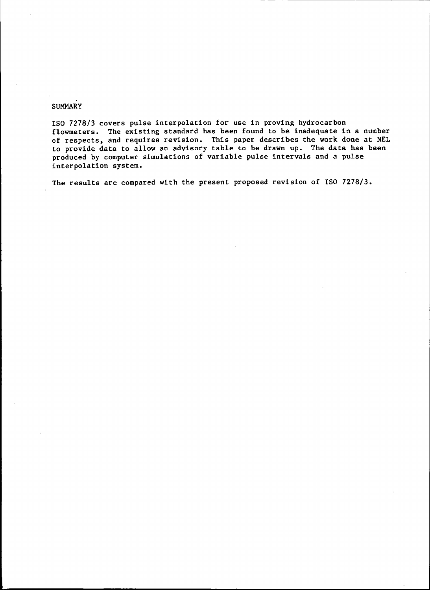#### SUMMARY

ISO 7278/3 covers pulse interpolation for use in proving hydrocarbon flowmeters. The existing standard has been found to be inadequate in a number of respects, and requires revision. This paper describes the work done at NEL to provide data to allow an advisory table to be drawn up. The data has been produced by computer simulations of variable pulse intervals and a pulse interpolation system.

The results are compared with the present proposed revision of ISO 7278/3.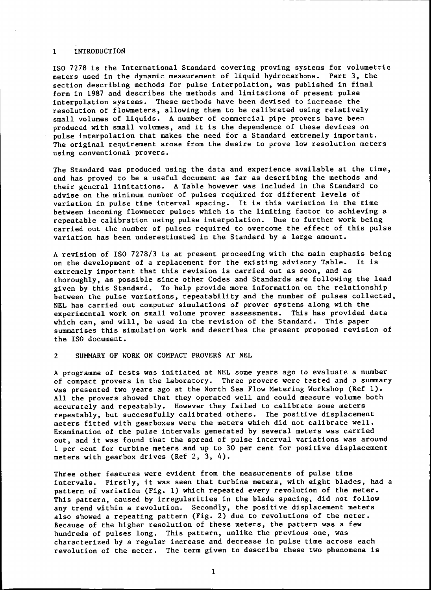#### 1 INTRODUCTION

ISO 7278 is the International Standard covering proving systems for volumetric meters used in the dynamic measurement of liquid hydrocarbons. Part 3, the section describing methods for pulse interpolation, was published in final form in 1987 and describes the methods and limitations of present pulse interpolation systems. These methods have been devised to increase the resolution of flowmeters, allowing them to be calibrated using relatively small volumes of liquids. A number of commercial pipe provers have been produced with small volumes. and it is the dependence of these devices on pulse interpolation that makes the need for a Standard extremely important. The original requirement arose from the desire to prove low resolution meters using conventional provers.

The Standard was produced using the data and experience available at the time, and has proved to be a useful document as far as describing the methods and their general limitations. A Table however was included in the Standard to advise on the minimum number of pulses required for different levels of variation in pulse time interval spacing. It is this variation in the time between incoming flowmeter pulses which is the limiting factor to achieving a repeatable calibration using pulse interpolation. Due to further work being carried out the number of pulses required to overcome the effect of this pulse variation has beeri underestimated in the Standard by a large amount.

A revision of ISO 7278/3 is at present proceeding with the main emphasis being on the development of a replacement for the existing advisory Table. It is extremely important that this revision is carried out as soon, and as thoroughly, as possible since other Codes and Standards are following the lead given by this Standard. To help provide more information on the relationship between the pulse variations, repeatability and the number of pulses collected, NEL has carried out computer simulations of prover systems along with the experimental work on small volume prover assessments. This has provided data which can, and will, be used in the revision of the Standard. This paper summarises this simulation work and describes the present proposed revision of the ISO document.

2 SUMMARY OF WORK ON COMPACT PROVERS AT NEL

A programme of tests was initiated at NEL some years ago to evaluate a number of compact provers in the laboratory. Three provers were tested and a summary was presented two years ago at the North Sea Flow Metering Workshop (Ref 1). All the provers showed that they operated well and could measure volume both accurately and repeatably. However they failed to calibrate some meters repeatably, but successfully calibrated others. The positive displacement meters fitted with gearboxes were the meters which did not calibrate well. Examination of the pulse intervals generated by several meters was carried out, and it was found that the spread of pulse interval variations was around 1 per cent for turbine meters and up to 30 per cent for positive displacement meters with gearbox drives (Ref 2, 3, 4).

Three other features were evident from the measurements of pulse time intervals. Firstly, it was seen that turbine meters, with eight blades, had a pattern of variation (Fig. 1) which repeated every revolution of the meter. This pattern, caused by irregularities in the blade spacing, did not follow any trend within a revolution. Secondly, the positive displacement meters also showed a repeating pattern (Fig. 2) due to revolutions of the meter. Because of the higher resolution of these meters, the pattern was a few hundreds of pulses long. This pattern, unlike the previous one, was characterized by a regular increase and decrease in pulse time across each revolution of the meter. The term given to describe these two phenomena is

1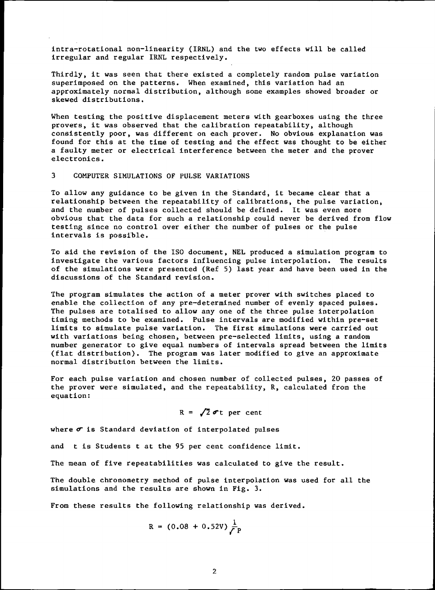intra-rotational non-linearity (IRNL) and the two effects will be called irregular and regular IRNL respectively.

Thirdly, it was seen that there existed a completely random pulse variation superimposed on the patterns. When examined, this variation had an approximately normal distribution, although some examples showed broader or skewed distributions.

When testing the positive displacement meters with gearboxes using the three provers, it was observed that the calibration repeatability, although consistently poor, was different on each prover. No obvious explanation was found for this at the time of testing and the effect was thought to be either a faulty meter or electrical interference between the meter and the prover electronics.

#### 3 COMPUTER SIMULATIONS OF PULSE VARIATIONS

To allow any guidance to be given in the Standard, it became clear that a relationship between the repeatability of calibrations, the pulse variation, and the number of pulses collected should be defined. It was even more obvious that the data for such a relationship could never be derived from flow testing since no control over either the number of pulses or the pulse intervals is possible.

To aid the revision of the ISO document, NEL produced a simulation program to investigate the various factors influencing pulse interpolation. The results of the simulations were presented (Ref 5) last year and have been used in the discussions of the Standard revision.

The program simulates the action of a meter prover with switches placed to enable the collection of any pre-determined number of evenly spaced pulses. The pulses are totalised to allow anyone of the three pulse interpolation timing methods to be examined. Pulse intervals are modified within pre-set limits to simulate pulse variation. The first simulations were carried out with variations being chosen, between pre-selected limits, using a random number generator to give equal numbers of intervals spread between the limits (flat distribution). The program was later modified to give an approximate normal distribution between the limits.

For each pulse variation and chosen number of collected pulses, 20 passes of the prover were simulated, and the repeatability, R, calculated from the equation:

$$
R = \sqrt{2} \sigma t
$$
 per cent

where  $\sigma$  is Standard deviation of interpolated pulses

and t is Students t at the 95 per cent confidence limit.

The mean of five repeatabilities was calculated to give the result.

The double chronometry method of pulse interpolation was used for all the simulations and the results are shown in Fig. 3.

From these results the following relationship was derived.

$$
R = (0.08 + 0.52V)\frac{1}{\sqrt{P}}
$$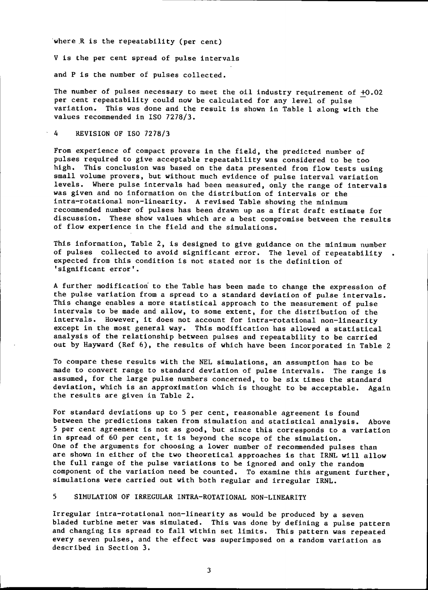·where .R is the repeatability (per cent)

V is the per cent spread of pulse intervals

and P is the number of pulses collected.

The number of pulses necessary to meet the oil industry requirement of +0.02 per cent repeatability could now be calculated for any level of pulse variation. This was done and the result is shown in Table 1 along with the values recommended in ISO 7278/3.

#### 4 REVISION OF ISO 7278/3

From experience of compact provers in the field, the predicted number of pulses required to give acceptable repeatability was considered to be too high. This conclusion was based on the data presented from flow tests using small volume provers, but without much evidence of pulse interval variation levels. Where pulse intervals had been measured, only the range of intervals was given and no information on the distribution of intervals or the intra-rotational non-linearity. A revised Table showing the minimum recommended number of pulses has been drawn up as a first draft estimate for discussion. These show values which are a best compromise between the results of flow experience in the field and the simulations.

This information, Table 2, is designed to give guidance on the minimum number of pulses collected to avoid significant error. The level of repeatability expected from this condition is not stated nor is the definition of 'significant error'.

A further modification to the Table has been made to change the expression of the pulse variation from a spread to a standard deviation of pulse intervals. This change enables a more statistical approach to the measurement of pulse intervals to be made and allow, to some extent, for the distribution of the intervals. However, it does not account for intra-rotational non-linearity except in the most general way. This modification has allowed a statistical analysis of the relationship between pulses and repeatability to be carried out by Hayward (Ref 6), the results of which have been incorporated in Table 2

To compare these results with the NEL simulations, an assumption has to be made to convert range to standard deviation of pulse intervals. The range is assumed, for the large pulse numbers concerned, to be six times the standard deviation, which is an approximation which is thought to be acceptable. Again the results are given in Table 2.

For standard deviations up to 5 per cent, reasonable agreement is found between the predictions taken from simulation and statistical analysis. Above 5 per cent agreement is not as good, but since this corresponds to a variation in spread of 60 per cent, it is beyond the scope of the simulation. One of the arguments for choosing a lower number of recommended pulses than are shown in either of the two theoretical approaches is that IRNL will allow the full range of the pulse variations to be ignored and only the random component of the variation need be counted. To examine this argument further, simulations were carried out with both regular and irregular IRNL.

## 5 SIMULATION OF IRREGULAR INTRA-ROTATIONAL NON-LINEARITY

Irregular intra-rotational non-linearity as would be produced by a seven bladed turbine meter was simulated. This was done by defining a pulse pattern and changing its spread to fall within set limits. This pattern was repeated every seven pulses, and the effect was superimposed on a random variation as described in Section 3.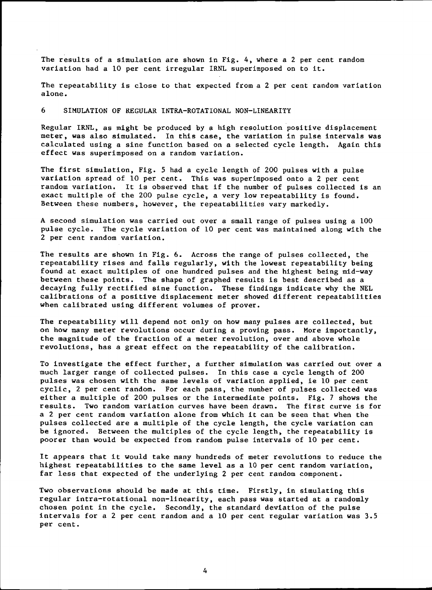The results of a simulation are shown in Fig. 4, where a 2 per cent random variation had a 10 per cent irregular IRNL superimposed on to it.

The repeatability is close to that expected from a 2 per cent random variation alone.

6 SIMULATION OF REGULAR INTRA-ROTATIONAL NON-LINEARITY

Regular IRNL, as might be produced by a high resolution positive displacement meter, was also simulated. In this case, the variation in pulse intervals was calculated using a sine function based on a selected cycle length. Again this effect was superimposed on a random variation.

The first simulation, Fig. 5 had a cycle length of 200 pulses with a pulse variation spread of 10 per cent. This was superimposed onto a 2 per cent random variation. It is observed that if the number of pulses collected is an exact multiple of the 200 pulse cycle, a very low repeatability is found. Between these numbers, however, the repeatabilities vary markedly.

A second simulation was carried out over a small range of pulses using a 100 pulse cycle. The cycle variation of 10 per cent was maintained along with the 2 per cent random variation.

The results are shown in Fig. 6. Across the range of pulses collected, the repeatability rises and falls regularly, with the lowest repeatability being found at exact mUltiples of one hundred pulses and the highest being mid-way between these points. The shape of graphed results is best described as a decaying fully rectified sine function. These findings indicate why the NEL calibrations of a positive displacement meter showed different repeatabilities when calibrated using different volumes of prover.

The repeatability will depend not only on how many pulses are collected, but on how many meter revolutions occur during a proving pass. More importantly, the magnitude of the fraction of a meter revolution, over and above whole revolutions, has a great effect on the repeatability of the calibration.

To investigate the effect further, a further simulation was carried out over a much larger range of collected pulses. In this case a cycle length of 200 pulses was chosen with the same levels of variation applied, ie 10 per cent cyclic, 2 per cent random. For each pass, the number of pulses collected was either a multiple of 200 pulses or the intermediate points. Fig. 7 shows the results. Two random variation curves have been drawn. The first curve is for a 2 per cent random variation alone from which it can be seen that when the pulses collected are a multiple of the cycle length, the cycle variation can be ignored. Between the multiples of the cycle length, the repeatability is poorer than would be expected from random pulse intervals of 10 per cent.

It appears that it would take many hundreds of meter revolutions to reduce the highest repeatabilities to the same level as a 10 per cent random variation, far less that expected of the underlying 2 per cent random component.

Two observations should be made at this time. Firstly, in simulating this regular intra-rotational non-linearity, each pass was started at a randomly chosen point in the cycle. Secondly, the standard deviation of the pulse intervals for a 2 per cent random and a 10 per cent regular variation was 3.5 per cent.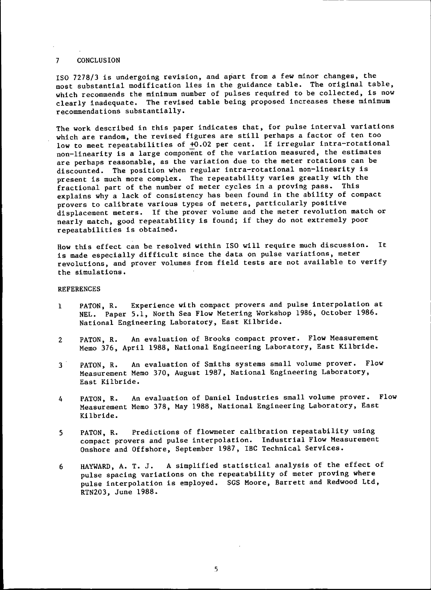#### 7 CONCLUSION

ISO 7278/3 is undergoing revision, and apart from a few minor changes, the most substantial modification lies in the guidance table. The original table, which recommends the minimum number of pulses required to be collected, is now clearly inadequate. The revised table being proposed increases these minimum recommendations substantially.

The work described in this paper indicates that, for pulse interval variations which are random, the revised figures are still perhaps a factor of ten too low to meet repeatabilities of +0.02 per cent. If irregular intra-rotational non-linearity is a large component of the variation measured, the estimates are perhaps reasonable, as the variation due to the meter rotations can be discounted. The position when regular intra-rotational non-linearity is present is much more complex. The repeatability varies greatly with the fractional part of the number of meter cycles in a proving pass. This explains why a lack of consistency has been found in the ability of compact provers to calibrate various types of meters, particularly positive displacement meters. If the prover volume and the meter revolution match or nearly match, good repeatability is found; if they do not extremely poor repeatabilities is obtained.

How this effect can be resolved within ISO will require much discussion. It is made especially difficult since the data on pulse variations, meter revolutions, and prover volumes from field tests are not available to verify the simulations.

#### REFERENCES

- 1 PATON, R. Experience with compact provers and pulse interpolation at NEL. Paper 5.1, North Sea Flow Metering Workshop 1986, October 1986. National Engineering Laboratory, East Kilbride.
- 2 PATON, R. An evaluation of Brooks compact prover. Flow Measurement Memo 376, April 1988, National Engineering Laboratory, East Kilbride.
- 3' PATON, R. An evaluation of Smiths systems small volume prover. Flow Measurement Memo 370, August 1987, National Engineering Laboratory, East Kilbride.
- 4 PATON, R. An evaluation of Daniel Industries small volume prover. Flow Measurement Memo 378, May 1988, National Engineering Laboratory, East Kilbride.
- 5 PATON, R. Predictions of flowmeter calibration repeatability using compact provers and pulse interpolation. Industrial Flow Measurement Onshore and Offshore, September 1987, IBC Technical Services.
- 6 HAYWARD, A. T. J. A simplified statistical analysis of the effect of pulse spacing variations on the repeatability of meter proving where pulse interpolation is employed. SGS Moore, Barrett and Redwood Ltd, RTN203, June 1988.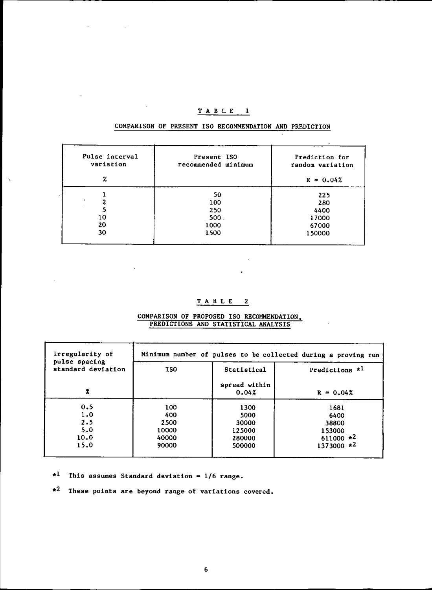## $T$  A B L E 1

| Pulse interval<br>variation | Present ISO<br>recommended minimum | Prediction for<br>random variation |
|-----------------------------|------------------------------------|------------------------------------|
| z                           |                                    | $R = 0.04%$                        |
|                             | 50                                 | 225                                |
|                             | 100                                | 280                                |
| 5                           | 250                                | 4400                               |
| 10                          | 500.                               | 17000                              |
| 20                          | 1000                               | 67000                              |
| 30                          | 1500                               | 150000                             |

## COMPARISON OF PRESENT ISO RECOMMENDATION AND PREDICTION

## TAB L E 2

 $\sim$ 

ł,

COMPARISON OF PROPOSED ISO RECOMMENDATION. PREDICTIONS AND STATISTICAL ANALYSIS

| Irregularity of<br>pulse spacing | Minimum number of pulses to be collected during a proving run |                                 |                                 |  |
|----------------------------------|---------------------------------------------------------------|---------------------------------|---------------------------------|--|
| standard deviation               | <b>ISO</b>                                                    | Statistical                     | Predictions $*1$                |  |
|                                  |                                                               | spread within<br>0.042          | $R = 0.042$                     |  |
| 0.5<br>1.0<br>2.5<br>5.0         | 100<br>400<br>2500<br>10000                                   | 1300<br>5000<br>30000<br>125000 | 1681<br>6400<br>38800<br>153000 |  |
| 10.0<br>15.0                     | 40000<br>90000                                                | 280000<br>500000                | $611000 *2$<br>$1373000 *2$     |  |

 $*1$  This assumes Standard deviation = 1/6 range.

L.

t,

Ň,

ä,

 $\sim 10^{11}$  m  $^{-1}$ 

•2 These points are beyond range of variations covered.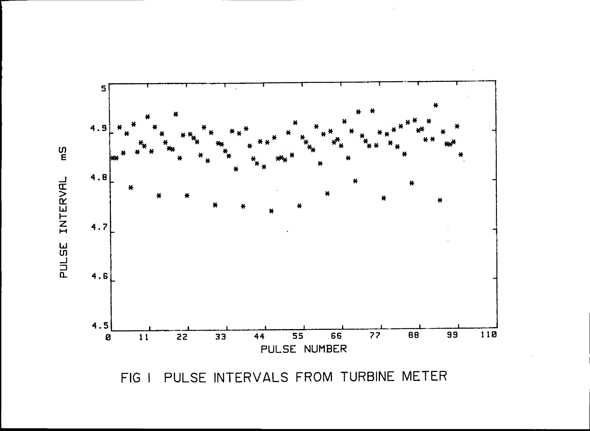

PULSE INTERVALS FROM TURBINE METER FIG I

ហ្គ<br>E PULSE INTERVAL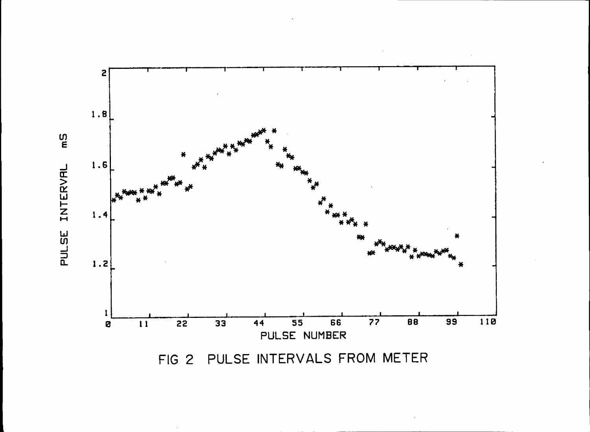

FIG 2 PULSE INTERVALS FROM METER

PULSE INTERVAL

က္ခ<br>E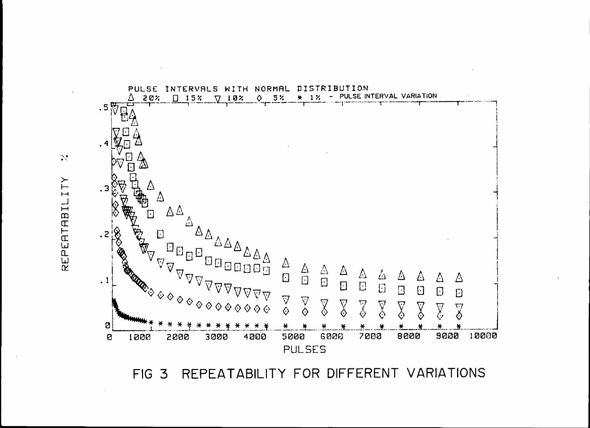

REPEATABILITY FOR DIFFERENT VARIATIONS FIG<sub>3</sub>

 $\mathbb{R}^{\bullet}$ REPERTABILITY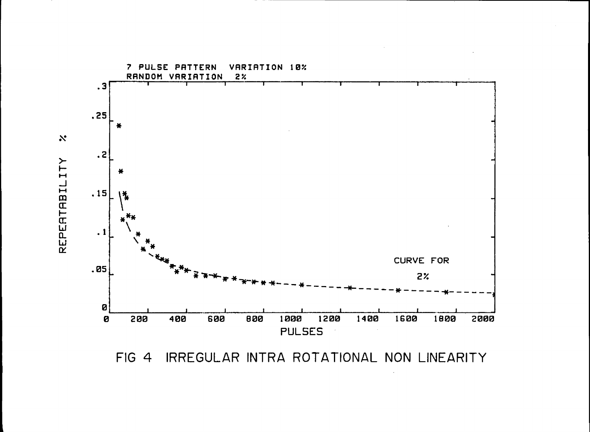

IRREGULAR INTRA ROTATIONAL NON LINEARITY  $FIG 4$ 

 $\aleph$ REPERTABILITY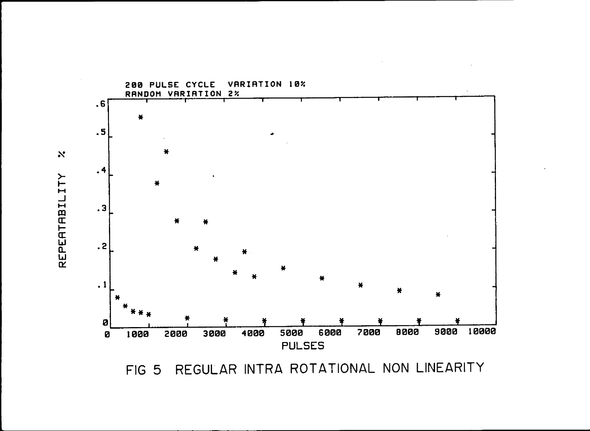

REGULAR INTRA ROTATIONAL NON LINEARITY FIG 5

REPERTABILITY

 $\aleph$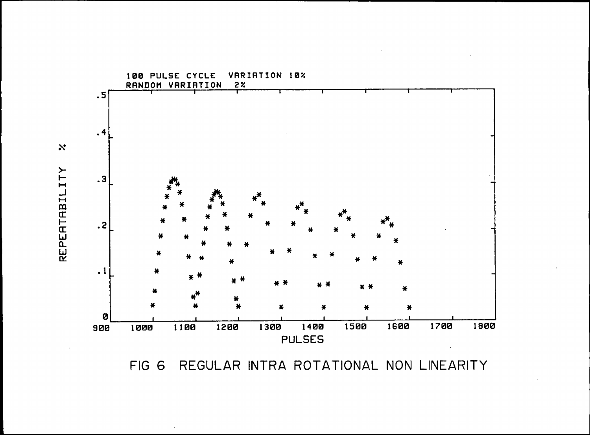

REGULAR INTRA ROTATIONAL NON LINEARITY FIG 6